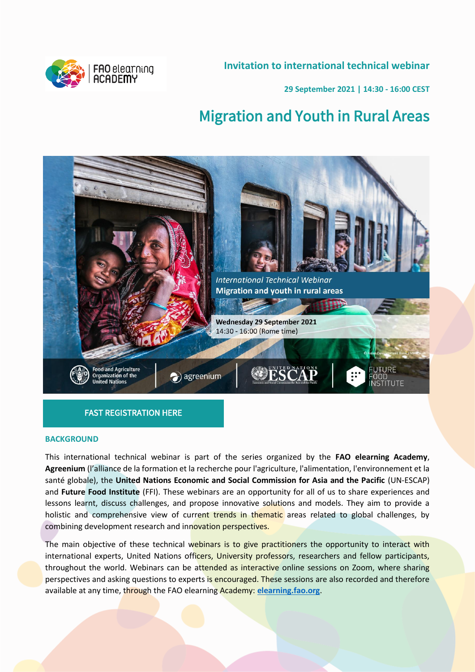**Invitation to international technical webinar**



**29 September 2021 | 14:30 - 16:00 CEST**

# Migration and Youth in Rural Areas



## [FAST REGISTRATION HERE](https://fao.zoom.us/webinar/register/WN_ubcWXojxQbmo8WLA6azHRA)

#### **BACKGROUND**

This international technical webinar is part of the series organized by the **FAO elearning Academy**, **Agreenium** (l'alliance de la formation et la recherche pour l'agriculture, l'alimentation, l'environnement et la santé globale), the **United Nations Economic and Social Commission for Asia and the Pacific** (UN-ESCAP) and **Future Food Institute** (FFI). These webinars are an opportunity for all of us to share experiences and lessons learnt, discuss challenges, and propose innovative solutions and models. They aim to provide a holistic and comprehensive view of current trends in thematic areas related to global challenges, by combining development research and innovation perspectives.

The main objective of these technical webinars is to give practitioners the opportunity to interact with international experts, United Nations officers, University professors, researchers and fellow participants, throughout the world. Webinars can be attended as interactive online sessions on Zoom, where sharing perspectives and asking questions to experts is encouraged. These sessions are also recorded and therefore available at any time, through the FAO elearning Academy: **[elearning.fao.org](https://elearning.fao.org/)**.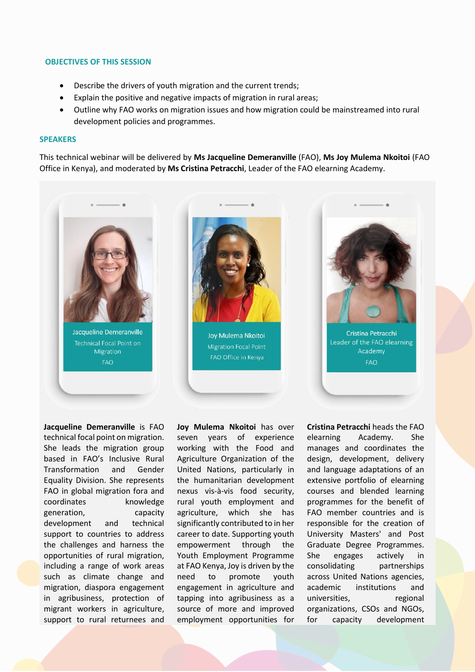#### **OBJECTIVES OF THIS SESSION**

- Describe the drivers of youth migration and the current trends;
- Explain the positive and negative impacts of migration in rural areas;
- Outline why FAO works on migration issues and how migration could be mainstreamed into rural development policies and programmes.

#### **SPEAKERS**

This technical webinar will be delivered by **Ms Jacqueline Demeranville** (FAO), **Ms Joy Mulema Nkoitoi** (FAO Office in Kenya), and moderated by **Ms Cristina Petracchi**, Leader of the FAO elearning Academy.



Jacqueline Demeranville Technical Focal Point on Migration FAO



Joy Mulema Nkoitoi **Migration Focal Point** FAO Office in Kenya



**FAO** 

**Jacqueline Demeranville** is FAO technical focal point on migration. She leads the migration group based in FAO's Inclusive Rural Transformation and Gender Equality Division. She represents FAO in global migration fora and coordinates knowledge generation, capacity development and technical support to countries to address the challenges and harness the opportunities of rural migration, including a range of work areas such as climate change and migration, diaspora engagement in agribusiness, protection of migrant workers in agriculture, support to rural returnees and

**Joy Mulema Nkoitoi** has over seven years of experience working with the Food and Agriculture Organization of the United Nations, particularly in the humanitarian development nexus vis-à-vis food security, rural youth employment and agriculture, which she has significantly contributed to in her career to date. Supporting youth empowerment through the Youth Employment Programme at FAO Kenya, Joy is driven by the need to promote youth engagement in agriculture and tapping into agribusiness as a source of more and improved employment opportunities for

**Cristina Petracchi** heads the FAO elearning Academy. She manages and coordinates the design, development, delivery and language adaptations of an extensive portfolio of elearning courses and blended learning programmes for the benefit of FAO member countries and is responsible for the creation of University Masters' and Post Graduate Degree Programmes. She engages actively in consolidating partnerships across United Nations agencies, academic institutions and universities, regional organizations, CSOs and NGOs, for capacity development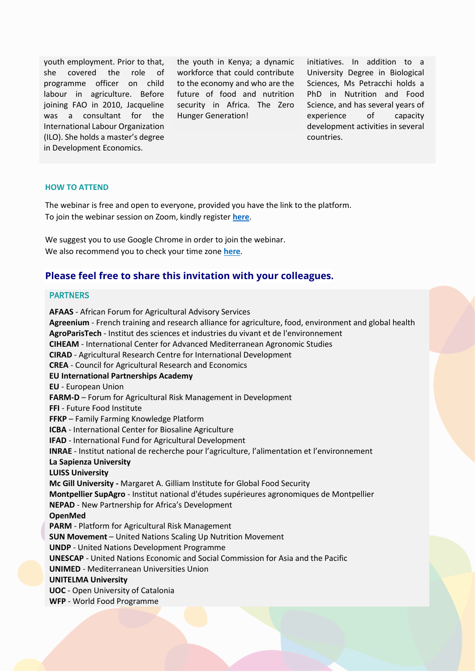youth employment. Prior to that, she covered the role of programme officer on child labour in agriculture. Before joining FAO in 2010, Jacqueline was a consultant for the International Labour Organization (ILO). She holds a master's degree in Development Economics.

the youth in Kenya; a dynamic workforce that could contribute to the economy and who are the future of food and nutrition security in Africa. The Zero Hunger Generation!

initiatives. In addition to a University Degree in Biological Sciences, Ms Petracchi holds a PhD in Nutrition and Food Science, and has several years of experience of capacity development activities in several countries.

#### **HOW TO ATTEND**

The webinar is free and open to everyone, provided you have the link to the platform. To join the webinar session on Zoom, kindly register **[here](https://fao.zoom.us/webinar/register/WN_ubcWXojxQbmo8WLA6azHRA)**.

We suggest you to use Google Chrome in order to join the webinar. We also recommend you to check your time zone **[here](https://www.thetimezoneconverter.com/)**.

## **Please feel free to share this invitation with your colleagues.**

### PARTNERS

**AFAAS** - African Forum for Agricultural Advisory Services **Agreenium** - French training and research alliance for agriculture, food, environment and global health **AgroParisTech** - Institut des sciences et industries du vivant et de l'environnement **CIHEAM** - International Center for Advanced Mediterranean Agronomic Studies **CIRAD** - Agricultural Research Centre for International Development **CREA** - Council for Agricultural Research and Economics **EU International Partnerships Academy EU** - European Union **FARM-D** – Forum for Agricultural Risk Management in Development **FFI** - Future Food Institute **FFKP** – Family Farming Knowledge Platform **ICBA** - International Center for Biosaline Agriculture **IFAD** - International Fund for Agricultural Development **INRAE** - Institut national de recherche pour l'agriculture, l'alimentation et l'environnement **La Sapienza University LUISS University Mc Gill University -** Margaret A. Gilliam Institute for Global Food Security **Montpellier SupAgro** - Institut national d'études supérieures agronomiques de Montpellier **NEPAD** - New Partnership for Africa's Development **OpenMed PARM** - Platform for Agricultural Risk Management **SUN Movement** – United Nations Scaling Up Nutrition Movement **UNDP** - United Nations Development Programme **UNESCAP** - United Nations Economic and Social Commission for Asia and the Pacific **UNIMED** - Mediterranean Universities Union **UNITELMA University UOC** - Open University of Catalonia **WFP** - World Food Programme